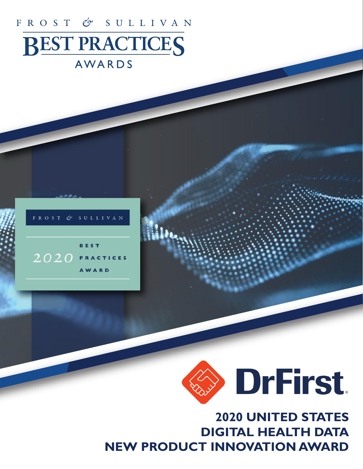# FROST & SULLIVAN **BEST PRACTICES**

## AWARDS





## **2020 UNITED STATES DIGITAL HEALTH DATA NEW PRODUCT INNOVATION AWARD**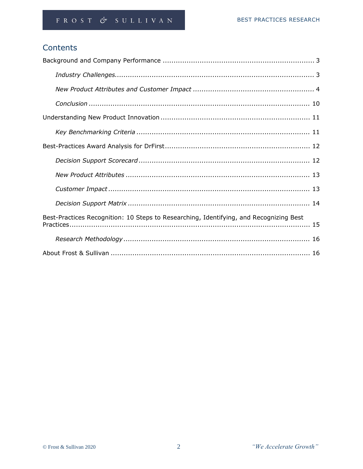## Contents

| Best-Practices Recognition: 10 Steps to Researching, Identifying, and Recognizing Best |
|----------------------------------------------------------------------------------------|
|                                                                                        |
|                                                                                        |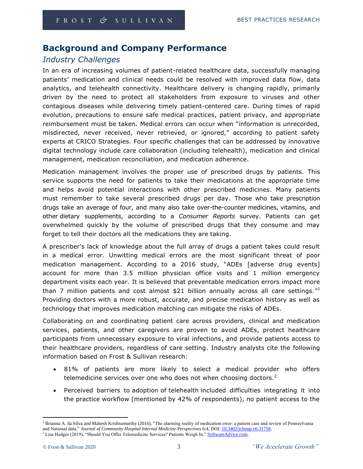## **Background and Company Performance**

## *Industry Challenges*

In an era of increasing volumes of patient-related healthcare data, successfully managing patients' medication and clinical needs could be resolved with improved data flow, data analytics, and telehealth connectivity. Healthcare delivery is changing rapidly, primarily driven by the need to protect all stakeholders from exposure to viruses and other contagious diseases while delivering timely patient-centered care. During times of rapid evolution, precautions to ensure safe medical practices, patient privacy, and appropriate reimbursement must be taken. Medical errors can occur when "information is unrecorded, misdirected, never received, never retrieved, or ignored," according to patient safety experts at [CRICO Strategies.](https://www.rmf.harvard.edu/Malpractice-Data/Annual-Benchmark-Reports/Risks-in-Communication-Failures) Four specific challenges that can be addressed by innovative digital technology include care collaboration (including telehealth), medication and clinical management, medication reconciliation, and medication adherence.

Medication management involves the proper use of prescribed drugs by patients. This service supports the need for patients to take their medications at the appropriate time and helps avoid potential interactions with other prescribed medicines. Many patients must remember to take several prescribed drugs per day. Those who take prescription drugs take an average of four, and many also take over-the-counter [medicines,](https://www.webmd.com/drugs/index-drugs.aspx) [vitamins,](https://www.webmd.com/vitamins-and-supplements/lifestyle-guide-11/default.htm) and other [dietary supplements,](https://www.webmd.com/vitamins-and-supplements/supplement-faq) according to a *Consumer Reports* survey. Patients can get overwhelmed quickly by the volume of prescribed drugs that they consume and may forget to tell their doctors all the medications they are taking.

A prescriber's lack of knowledge about the full array of drugs a patient takes could result in a medical error. Unwitting medical errors are the most significant threat of poor medication management. According to a 2016 study, "ADEs [adverse drug events] account for more than 3.5 million physician office visits and 1 million emergency department visits each year. It is believed that preventable medication errors impact more than 7 million patients and cost almost \$21 billion annually across all care settings."<sup>1</sup> Providing doctors with a more robust, accurate, and precise medication history as well as technology that improves medication matching can mitigate the risks of ADEs.

Collaborating on and coordinating patient care across providers, clinical and medication services, patients, and other caregivers are proven to avoid ADEs, protect healthcare participants from unnecessary exposure to viral infections, and provide patients access to their healthcare providers, regardless of care setting. Industry analysts cite the following information based on Frost & Sullivan research:

- 81% of patients are more likely to select a medical provider who offers telemedicine services over one who does not when choosing doctors. $2$
- Perceived barriers to adoption of telehealth included difficulties integrating it into the practice workflow (mentioned by 42% of respondents), no patient access to the

<sup>&</sup>lt;sup>1</sup> Brianna A. da Silva and Mahesh Krishnamurthy (2016), "The alarming reality of medication error: a patient case and review of Pennsylvania and National data," *Journal of Community Hospital Internal Medicine Perspectives* 6:4, DOI: [10.3402/jchimp.v6.31758.](https://doi.org/10.3402/jchimp.v6.31758) <sup>2</sup> Lisa Hedges (2019), "Should You Offer Telemedicine Services? Patients Weigh In," [SoftwareAdvice.com.](https://www.softwareadvice.com/resources/should-you-offer-telemedicine-services/)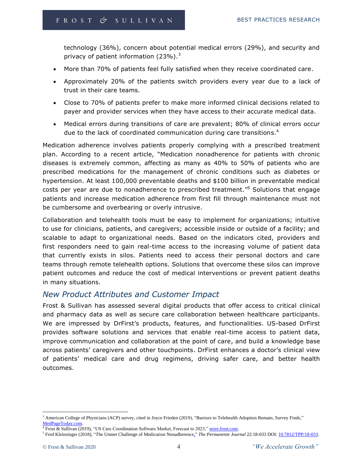technology (36%), concern about potential medical errors (29%), and security and privacy of patient information (23%).<sup>3</sup>

- More than 70% of patients feel fully satisfied when they receive coordinated care.
- Approximately 20% of the patients switch providers every year due to a lack of trust in their care teams.
- Close to 70% of patients prefer to make more informed clinical decisions related to payer and provider services when they have access to their accurate medical data.
- Medical errors during transitions of care are prevalent; 80% of clinical errors occur due to the lack of coordinated communication during care transitions.<sup>4</sup>

Medication adherence involves patients properly complying with a prescribed treatment plan. According to a recent article, "Medication nonadherence for patients with chronic diseases is extremely common, affecting as many as 40% to 50% of patients who are prescribed medications for the management of chronic conditions such as diabetes or hypertension. At least 100,000 preventable deaths and \$100 billion in preventable medical costs per year are due to nonadherence to prescribed treatment."<sup>5</sup> Solutions that engage patients and increase medication adherence from first fill through maintenance must not be cumbersome and overbearing or overly intrusive.

Collaboration and telehealth tools must be easy to implement for organizations; intuitive to use for clinicians, patients, and caregivers; accessible inside or outside of a facility; and scalable to adapt to organizational needs. Based on the indicators cited, providers and first responders need to gain real-time access to the increasing volume of patient data that currently exists in silos. Patients need to access their personal doctors and care teams through remote telehealth options. Solutions that overcome these silos can improve patient outcomes and reduce the cost of medical interventions or prevent patient deaths in many situations.

## *New Product Attributes and Customer Impact*

Frost & Sullivan has assessed several digital products that offer access to critical clinical and pharmacy data as well as secure care collaboration between healthcare participants. We are impressed by DrFirst's products, features, and functionalities. US-based DrFirst provides software solutions and services that enable real-time access to patient data, improve communication and collaboration at the point of care, and build a knowledge base across patients' caregivers and other touchpoints. DrFirst enhances a doctor's clinical view of patients' medical care and drug regimens, driving safer care, and better health outcomes.

<sup>&</sup>lt;sup>3</sup> American College of Physicians (ACP) survey, cited in Joyce Frieden (2019), "Barriers to Telehealth Adoption Remain, Survey Finds," [MedPageToday.com.](https://www.medpagetoday.com/meetingcoverage/acp/79180)

<sup>&</sup>lt;sup>4</sup> Frost & Sullivan (2019), "US Care Coordination Software Market, Forecast to 2023," [store.frost.com.](https://store.frost.com/us-care-coordination-software-market-forecast-to-2023.html)

<sup>5</sup> Fred Kleinsinger (2018), "The Unmet Challenge of Medication Nonadherence," *The Permanente Journal* 22:18-033 DOI: [10.7812/TPP/18-033.](https://dx.doi.org/10.7812%2FTPP%2F18-033)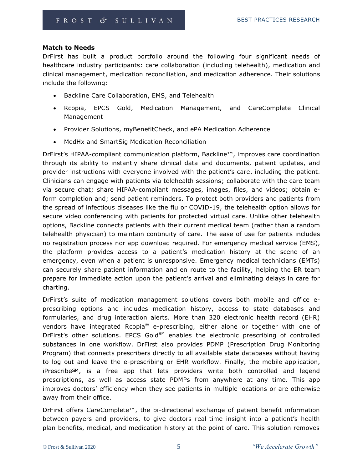#### **Match to Needs**

DrFirst has built a product portfolio around the following four significant needs of healthcare industry participants: care collaboration (including telehealth), medication and clinical management, medication reconciliation, and medication adherence. Their solutions include the following:

- Backline Care Collaboration, EMS, and Telehealth
- Rcopia, EPCS Gold, Medication Management, and CareComplete Clinical Management
- Provider Solutions, myBenefitCheck, and ePA Medication Adherence
- MedHx and SmartSig Medication Reconciliation

DrFirst's HIPAA-compliant communication platform, Backline™, improves care coordination through its ability to instantly share clinical data and documents, patient updates, and provider instructions with everyone involved with the patient's care, including the patient. Clinicians can engage with patients via telehealth sessions; collaborate with the care team via secure chat; share HIPAA-compliant messages, images, files, and videos; obtain eform completion and; send patient reminders. To protect both providers and patients from the spread of infectious diseases like the flu or COVID-19, the telehealth option allows for secure video conferencing with patients for protected virtual care. Unlike other telehealth options, Backline connects patients with their current medical team (rather than a random telehealth physician) to maintain continuity of care. The ease of use for patients includes no registration process nor app download required. For emergency medical service (EMS), the platform provides access to a patient's medication history at the scene of an emergency, even when a patient is unresponsive. Emergency medical technicians (EMTs) can securely share patient information and en route to the facility, helping the ER team prepare for immediate action upon the patient's arrival and eliminating delays in care for charting.

DrFirst's suite of medication management solutions covers both mobile and office eprescribing options and includes medication history, access to state databases and formularies, and drug interaction alerts. More than 320 electronic health record (EHR) vendors have integrated Rcopia<sup>®</sup> e-prescribing, either alone or together with one of DrFirst's other solutions. EPCS Gold $^{SM}$  enables the electronic prescribing of controlled substances in one workflow. DrFirst also provides PDMP (Prescription Drug Monitoring Program) that connects prescribers directly to all available state databases without having to log out and leave the e-prescribing or EHR workflow. Finally, the mobile application, iPrescribe<sub>SM</sub>, is a free app that lets providers write both controlled and legend prescriptions, as well as access state PDMPs from anywhere at any time. This app improves doctors' efficiency when they see patients in multiple locations or are otherwise away from their office.

DrFirst offers CareComplete™, the bi-directional exchange of patient benefit information between payers and providers, to give doctors real-time insight into a patient's health plan benefits, medical, and medication history at the point of care. This solution removes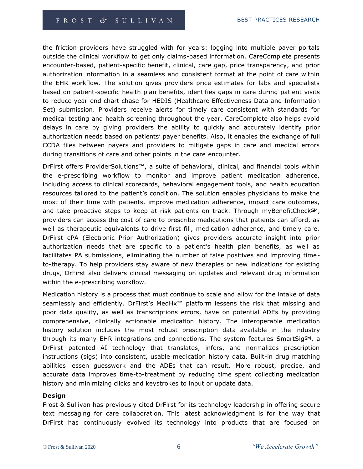the friction providers have struggled with for years: logging into multiple payer portals outside the clinical workflow to get only claims-based information. CareComplete presents encounter-based, patient-specific benefit, clinical, care gap, price transparency, and prior authorization information in a seamless and consistent format at the point of care within the EHR workflow. The solution gives providers price estimates for labs and specialists based on patient-specific health plan benefits, identifies gaps in care during patient visits to reduce year-end chart chase for HEDIS (Healthcare Effectiveness Data and Information Set) submission. Providers receive alerts for timely care consistent with standards for medical testing and health screening throughout the year. CareComplete also helps avoid delays in care by giving providers the ability to quickly and accurately identify prior authorization needs based on patients' payer benefits. Also, it enables the exchange of full CCDA files between payers and providers to mitigate gaps in care and medical errors during transitions of care and other points in the care encounter.

DrFirst offers ProviderSolutions™, a suite of behavioral, clinical, and financial tools within the e-prescribing workflow to monitor and improve patient medication adherence, including access to clinical scorecards, behavioral engagement tools, and health education resources tailored to the patient's condition. The solution enables physicians to make the most of their time with patients, improve medication adherence, impact care outcomes, and take proactive steps to keep at-risk patients on track. Through myBenefitCheckSM, providers can access the cost of care to prescribe medications that patients can afford, as well as therapeutic equivalents to drive first fill, medication adherence, and timely care. DrFirst ePA (Electronic Prior Authorization) gives providers accurate insight into prior authorization needs that are specific to a patient's health plan benefits, as well as facilitates PA submissions, eliminating the number of false positives and improving timeto-therapy. To help providers stay aware of new therapies or new indications for existing drugs, DrFirst also delivers clinical messaging on updates and relevant drug information within the e-prescribing workflow.

Medication history is a process that must continue to scale and allow for the intake of data seamlessly and efficiently. DrFirst's MedHx<sup>™</sup> platform lessens the risk that missing and poor data quality, as well as transcriptions errors, have on potential ADEs by providing comprehensive, clinically actionable medication history. The interoperable medication history solution includes the most robust prescription data available in the industry through its many EHR integrations and connections. The system features SmartSigSM, a DrFirst patented AI technology that translates, infers, and normalizes prescription instructions (sigs) into consistent, usable medication history data. Built-in drug matching abilities lessen guesswork and the ADEs that can result. More robust, precise, and accurate data improves time-to-treatment by reducing time spent collecting medication history and minimizing clicks and keystrokes to input or update data.

#### **Design**

Frost & Sullivan has previously cited DrFirst for its technology leadership in offering secure text messaging for care collaboration. This latest acknowledgment is for the way that DrFirst has continuously evolved its technology into products that are focused on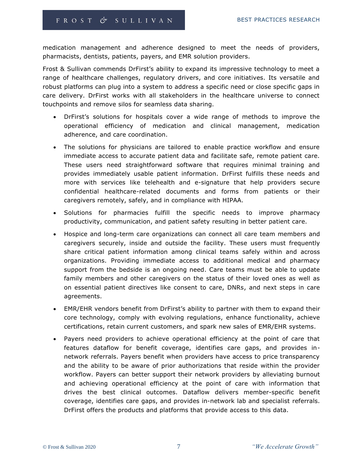medication management and adherence designed to meet the needs of providers, pharmacists, dentists, patients, payers, and EMR solution providers.

Frost & Sullivan commends DrFirst's ability to expand its impressive technology to meet a range of healthcare challenges, regulatory drivers, and core initiatives. Its versatile and robust platforms can plug into a system to address a specific need or close specific gaps in care delivery. DrFirst works with all stakeholders in the healthcare universe to connect touchpoints and remove silos for seamless data sharing.

- DrFirst's solutions for hospitals cover a wide range of methods to improve the operational efficiency of medication and clinical management, medication adherence, and care coordination.
- The solutions for physicians are tailored to enable practice workflow and ensure immediate access to accurate patient data and facilitate safe, remote patient care. These users need straightforward software that requires minimal training and provides immediately usable patient information. DrFirst fulfills these needs and more with services like telehealth and e-signature that help providers secure confidential healthcare-related documents and forms from patients or their caregivers remotely, safely, and in compliance with HIPAA.
- Solutions for pharmacies fulfill the specific needs to improve pharmacy productivity, communication, and patient safety resulting in better patient care.
- Hospice and long-term care organizations can connect all care team members and caregivers securely, inside and outside the facility. These users must frequently share critical patient information among clinical teams safely within and across organizations. Providing immediate access to additional medical and pharmacy support from the bedside is an ongoing need. Care teams must be able to update family members and other caregivers on the status of their loved ones as well as on essential patient directives like consent to care, DNRs, and next steps in care agreements.
- EMR/EHR vendors benefit from DrFirst's ability to partner with them to expand their core technology, comply with evolving regulations, enhance functionality, achieve certifications, retain current customers, and spark new sales of EMR/EHR systems.
- Payers need providers to achieve operational efficiency at the point of care that features dataflow for benefit coverage, identifies care gaps, and provides innetwork referrals. Payers benefit when providers have access to price transparency and the ability to be aware of prior authorizations that reside within the provider workflow. Payers can better support their network providers by alleviating burnout and achieving operational efficiency at the point of care with information that drives the best clinical outcomes. Dataflow delivers member-specific benefit coverage, identifies care gaps, and provides in-network lab and specialist referrals. DrFirst offers the products and platforms that provide access to this data.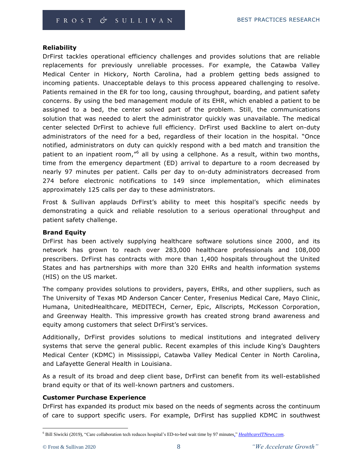#### **Reliability**

DrFirst tackles operational efficiency challenges and provides solutions that are reliable replacements for previously unreliable processes. For example, the Catawba Valley Medical Center in Hickory, North Carolina, had a problem getting beds assigned to incoming patients. Unacceptable delays to this process appeared challenging to resolve. Patients remained in the ER for too long, causing throughput, boarding, and patient safety concerns. By using the bed management module of its EHR, which enabled a patient to be assigned to a bed, the center solved part of the problem. Still, the communications solution that was needed to alert the administrator quickly was unavailable. The medical center selected DrFirst to achieve full efficiency. DrFirst used Backline to alert on-duty administrators of the need for a bed, regardless of their location in the hospital. "Once notified, administrators on duty can quickly respond with a bed match and transition the patient to an inpatient room,"<sup>6</sup> all by using a cellphone. As a result, within two months, time from the emergency department (ED) arrival to departure to a room decreased by nearly 97 minutes per patient. Calls per day to on-duty administrators decreased from 274 before electronic notifications to 149 since implementation, which eliminates approximately 125 calls per day to these administrators.

Frost & Sullivan applauds DrFirst's ability to meet this hospital's specific needs by demonstrating a quick and reliable resolution to a serious operational throughput and patient safety challenge.

#### **Brand Equity**

DrFirst has been actively supplying healthcare software solutions since 2000, and its network has grown to reach over 283,000 healthcare professionals and 108,000 prescribers. DrFirst has contracts with more than 1,400 hospitals throughout the United States and has partnerships with more than 320 EHRs and health information systems (HIS) on the US market.

The company provides solutions to providers, payers, EHRs, and other suppliers, such as The University of Texas MD Anderson Cancer Center, Fresenius Medical Care, Mayo Clinic, Humana, UnitedHealthcare, MEDITECH, Cerner, Epic, Allscripts, McKesson Corporation, and Greenway Health. This impressive growth has created strong brand awareness and equity among customers that select DrFirst's services.

Additionally, DrFirst provides solutions to medical institutions and integrated delivery systems that serve the general public. Recent examples of this include King's Daughters Medical Center (KDMC) in Mississippi, Catawba Valley Medical Center in North Carolina, and Lafayette General Health in Louisiana.

As a result of its broad and deep client base, DrFirst can benefit from its well-established brand equity or that of its well-known partners and customers.

#### **Customer Purchase Experience**

DrFirst has expanded its product mix based on the needs of segments across the continuum of care to support specific users. For example, DrFirst has supplied KDMC in southwest

<sup>6</sup> Bill Siwicki (2019), "Care collaboration tech reduces hospital's ED-to-bed wait time by 97 minutes," *[HealthcareITNews.com](https://www.healthcareitnews.com/news/care-collaboration-tech-reduces-hospital-s-ed-bed-wait-time-97-minutes)*.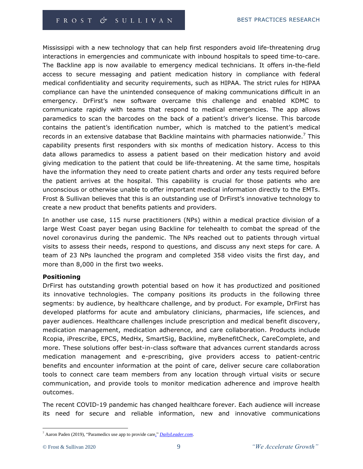Mississippi with a new technology that can help first responders avoid life-threatening drug interactions in emergencies and communicate with inbound hospitals to speed time-to-care. The Backline app is now available to emergency medical technicians. It offers in-the-field access to secure messaging and patient medication history in compliance with federal medical confidentiality and security requirements, such as HIPAA. The strict rules for HIPAA compliance can have the unintended consequence of making communications difficult in an emergency. DrFirst's new software overcame this challenge and enabled KDMC to communicate rapidly with teams that respond to medical emergencies. The app allows paramedics to scan the barcodes on the back of a patient's driver's license. This barcode contains the patient's identification number, which is matched to the patient's medical records in an extensive database that Backline maintains with pharmacies nationwide.<sup>7</sup> This capability presents first responders with six months of medication history. Access to this data allows paramedics to assess a patient based on their medication history and avoid giving medication to the patient that could be life-threatening. At the same time, hospitals have the information they need to create patient charts and order any tests required before the patient arrives at the hospital. This capability is crucial for those patients who are unconscious or otherwise unable to offer important medical information directly to the EMTs. Frost & Sullivan believes that this is an outstanding use of DrFirst's innovative technology to create a new product that benefits patients and providers.

In another use case, 115 nurse practitioners (NPs) within a medical practice division of a large West Coast payer began using Backline for telehealth to combat the spread of the novel coronavirus during the pandemic. The NPs reached out to patients through virtual visits to assess their needs, respond to questions, and discuss any next steps for care. A team of 23 NPs launched the program and completed 358 video visits the first day, and more than 8,000 in the first two weeks.

#### **Positioning**

DrFirst has outstanding growth potential based on how it has productized and positioned its innovative technologies. The company positions its products in the following three segments: by audience, by healthcare challenge, and by product. For example, DrFirst has developed platforms for acute and ambulatory clinicians, pharmacies, life sciences, and payer audiences. Healthcare challenges include prescription and medical benefit discovery, medication management, medication adherence, and care collaboration. Products include Rcopia, iPrescribe, EPCS, MedHx, SmartSig, Backline, myBenefitCheck, CareComplete, and more. These solutions offer best-in-class software that advances current standards across medication management and e-prescribing, give providers access to patient-centric benefits and encounter information at the point of care, deliver secure care collaboration tools to connect care team members from any location through virtual visits or secure communication, and provide tools to monitor medication adherence and improve health outcomes.

The recent COVID-19 pandemic has changed healthcare forever. Each audience will increase its need for secure and reliable information, new and innovative communications

<sup>7</sup> Aaron Paden (2019), "Paramedics use app to provide care," *[DailyLeader.com](https://www.dailyleader.com/2019/10/17/paramedics-use-app-to-provide-care/)*.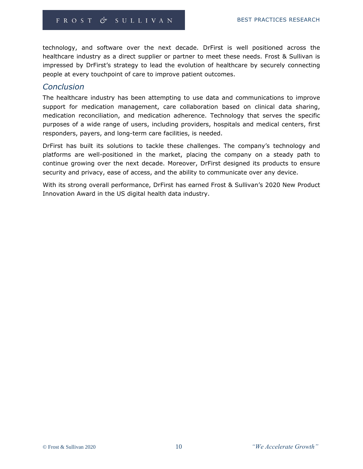technology, and software over the next decade. DrFirst is well positioned across the healthcare industry as a direct supplier or partner to meet these needs. Frost & Sullivan is impressed by DrFirst's strategy to lead the evolution of healthcare by securely connecting people at every touchpoint of care to improve patient outcomes.

### *Conclusion*

The healthcare industry has been attempting to use data and communications to improve support for medication management, care collaboration based on clinical data sharing, medication reconciliation, and medication adherence. Technology that serves the specific purposes of a wide range of users, including providers, hospitals and medical centers, first responders, payers, and long-term care facilities, is needed.

DrFirst has built its solutions to tackle these challenges. The company's technology and platforms are well-positioned in the market, placing the company on a steady path to continue growing over the next decade. Moreover, DrFirst designed its products to ensure security and privacy, ease of access, and the ability to communicate over any device.

With its strong overall performance, DrFirst has earned Frost & Sullivan's 2020 New Product Innovation Award in the US digital health data industry.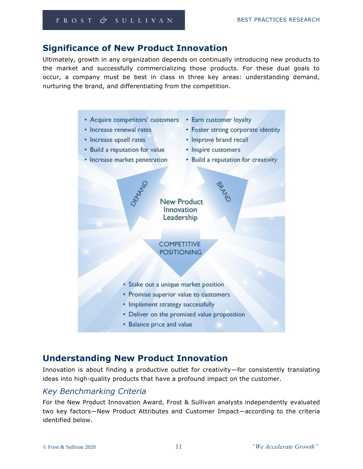## **Significance of New Product Innovation**

Ultimately, growth in any organization depends on continually introducing new products to the market and successfully commercializing those products. For these dual goals to occur, a company must be best in class in three key areas: understanding demand, nurturing the brand, and differentiating from the competition.



## **Understanding New Product Innovation**

Innovation is about finding a productive outlet for creativity—for consistently translating ideas into high-quality products that have a profound impact on the customer.

## *Key Benchmarking Criteria*

For the New Product Innovation Award, Frost & Sullivan analysts independently evaluated two key factors—New Product Attributes and Customer Impact—according to the criteria identified below.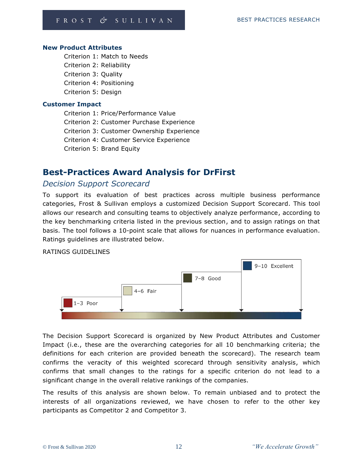#### **New Product Attributes**

Criterion 1: Match to Needs Criterion 2: Reliability Criterion 3: Quality Criterion 4: Positioning Criterion 5: Design

#### **Customer Impact**

Criterion 1: Price/Performance Value Criterion 2: Customer Purchase Experience Criterion 3: Customer Ownership Experience Criterion 4: Customer Service Experience Criterion 5: Brand Equity

## **Best-Practices Award Analysis for DrFirst**

## *Decision Support Scorecard*

To support its evaluation of best practices across multiple business performance categories, Frost & Sullivan employs a customized Decision Support Scorecard. This tool allows our research and consulting teams to objectively analyze performance, according to the key benchmarking criteria listed in the previous section, and to assign ratings on that basis. The tool follows a 10-point scale that allows for nuances in performance evaluation. Ratings guidelines are illustrated below.

#### RATINGS GUIDELINES



The Decision Support Scorecard is organized by New Product Attributes and Customer Impact (i.e., these are the overarching categories for all 10 benchmarking criteria; the definitions for each criterion are provided beneath the scorecard). The research team confirms the veracity of this weighted scorecard through sensitivity analysis, which confirms that small changes to the ratings for a specific criterion do not lead to a significant change in the overall relative rankings of the companies.

The results of this analysis are shown below. To remain unbiased and to protect the interests of all organizations reviewed, we have chosen to refer to the other key participants as Competitor 2 and Competitor 3.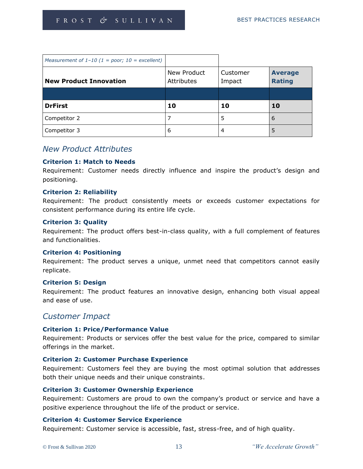| Measurement of $1-10$ (1 = poor; $10 =$ excellent) |                                  |                    |                                 |
|----------------------------------------------------|----------------------------------|--------------------|---------------------------------|
| <b>New Product Innovation</b>                      | New Product<br><b>Attributes</b> | Customer<br>Impact | <b>Average</b><br><b>Rating</b> |
|                                                    |                                  |                    |                                 |
| <b>DrFirst</b>                                     | 10                               | 10                 | 10                              |
| Competitor 2                                       |                                  | 5                  | 6                               |
| Competitor 3                                       | 6                                | 4                  | 5                               |

## *New Product Attributes*

#### **Criterion 1: Match to Needs**

Requirement: Customer needs directly influence and inspire the product's design and positioning.

#### **Criterion 2: Reliability**

Requirement: The product consistently meets or exceeds customer expectations for consistent performance during its entire life cycle.

#### **Criterion 3: Quality**

Requirement: The product offers best-in-class quality, with a full complement of features and functionalities.

#### **Criterion 4: Positioning**

Requirement: The product serves a unique, unmet need that competitors cannot easily replicate.

#### **Criterion 5: Design**

Requirement: The product features an innovative design, enhancing both visual appeal and ease of use.

#### *Customer Impact*

#### **Criterion 1: Price/Performance Value**

Requirement: Products or services offer the best value for the price, compared to similar offerings in the market.

#### **Criterion 2: Customer Purchase Experience**

Requirement: Customers feel they are buying the most optimal solution that addresses both their unique needs and their unique constraints.

#### **Criterion 3: Customer Ownership Experience**

Requirement: Customers are proud to own the company's product or service and have a positive experience throughout the life of the product or service.

#### **Criterion 4: Customer Service Experience**

Requirement: Customer service is accessible, fast, stress-free, and of high quality.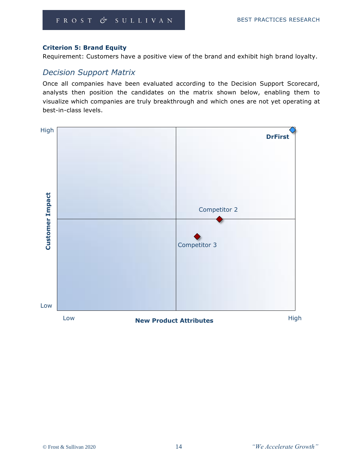#### **Criterion 5: Brand Equity**

Requirement: Customers have a positive view of the brand and exhibit high brand loyalty.

## *Decision Support Matrix*

Once all companies have been evaluated according to the Decision Support Scorecard, analysts then position the candidates on the matrix shown below, enabling them to visualize which companies are truly breakthrough and which ones are not yet operating at best-in-class levels.

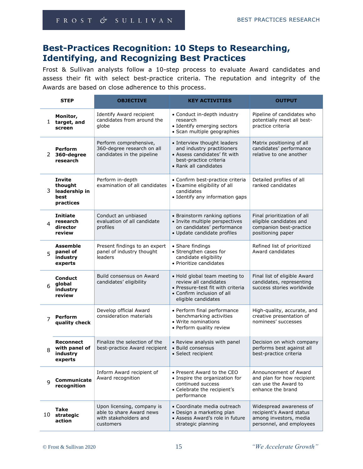## **Best-Practices Recognition: 10 Steps to Researching, Identifying, and Recognizing Best Practices**

Frost & Sullivan analysts follow a 10-step process to evaluate Award candidates and assess their fit with select best-practice criteria. The reputation and integrity of the Awards are based on close adherence to this process.

| <b>STEP</b>    |                                                                | <b>OBJECTIVE</b>                                                                             | <b>KEY ACTIVITIES</b>                                                                                                                            | <b>OUTPUT</b>                                                                                             |
|----------------|----------------------------------------------------------------|----------------------------------------------------------------------------------------------|--------------------------------------------------------------------------------------------------------------------------------------------------|-----------------------------------------------------------------------------------------------------------|
|                | Monitor,<br>1 target, and<br>screen                            | Identify Award recipient<br>candidates from around the<br>globe                              | • Conduct in-depth industry<br>research<br>• Identify emerging sectors<br>· Scan multiple geographies                                            | Pipeline of candidates who<br>potentially meet all best-<br>practice criteria                             |
|                | <b>Perform</b><br>2 360-degree<br>research                     | Perform comprehensive,<br>360-degree research on all<br>candidates in the pipeline           | • Interview thought leaders<br>and industry practitioners<br>• Assess candidates' fit with<br>best-practice criteria<br>• Rank all candidates    | Matrix positioning of all<br>candidates' performance<br>relative to one another                           |
| 3              | <b>Invite</b><br>thought<br>leadership in<br>best<br>practices | Perform in-depth<br>examination of all candidates                                            | • Confirm best-practice criteria<br>• Examine eligibility of all<br>candidates<br>• Identify any information gaps                                | Detailed profiles of all<br>ranked candidates                                                             |
| 4              | <b>Initiate</b><br>research<br>director<br>review              | Conduct an unbiased<br>evaluation of all candidate<br>profiles                               | • Brainstorm ranking options<br>· Invite multiple perspectives<br>on candidates' performance<br>· Update candidate profiles                      | Final prioritization of all<br>eligible candidates and<br>companion best-practice<br>positioning paper    |
| 5              | <b>Assemble</b><br>panel of<br>industry<br>experts             | Present findings to an expert<br>panel of industry thought<br>leaders                        | • Share findings<br>• Strengthen cases for<br>candidate eligibility<br>• Prioritize candidates                                                   | Refined list of prioritized<br>Award candidates                                                           |
| 6              | <b>Conduct</b><br>global<br>industry<br>review                 | Build consensus on Award<br>candidates' eligibility                                          | • Hold global team meeting to<br>review all candidates<br>• Pressure-test fit with criteria<br>• Confirm inclusion of all<br>eligible candidates | Final list of eligible Award<br>candidates, representing<br>success stories worldwide                     |
| $\overline{7}$ | Perform<br>quality check                                       | Develop official Award<br>consideration materials                                            | • Perform final performance<br>benchmarking activities<br>• Write nominations<br>• Perform quality review                                        | High-quality, accurate, and<br>creative presentation of<br>nominees' successes                            |
| 8              | <b>Reconnect</b><br>with panel of<br>industry<br>experts       | Finalize the selection of the<br>best-practice Award recipient                               | • Review analysis with panel<br>• Build consensus<br>• Select recipient                                                                          | Decision on which company<br>performs best against all<br>best-practice criteria                          |
| q              | Communicate<br>recognition                                     | Inform Award recipient of<br>Award recognition                                               | • Present Award to the CEO<br>• Inspire the organization for<br>continued success<br>• Celebrate the recipient's<br>performance                  | Announcement of Award<br>and plan for how recipient<br>can use the Award to<br>enhance the brand          |
| 10             | Take<br>strategic<br>action                                    | Upon licensing, company is<br>able to share Award news<br>with stakeholders and<br>customers | • Coordinate media outreach<br>• Design a marketing plan<br>• Assess Award's role in future<br>strategic planning                                | Widespread awareness of<br>recipient's Award status<br>among investors, media<br>personnel, and employees |